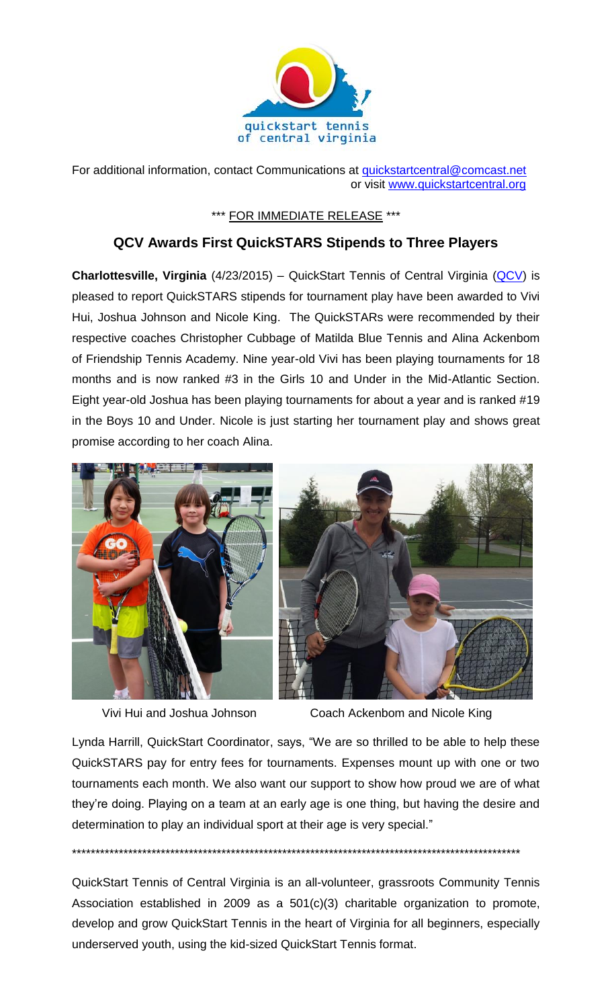

For additional information, contact Communications at [quickstartcentral@comcast.net](mailto:quickstartcentral@comcast.net) or visit [www.quickstartcentral.org](http://www.quickstartcentral.org/)

## \*\*\* FOR IMMEDIATE RELEASE \*\*\*

## **QCV Awards First QuickSTARS Stipends to Three Players**

**Charlottesville, Virginia** (4/23/2015) – QuickStart Tennis of Central Virginia (OCV) is pleased to report QuickSTARS stipends for tournament play have been awarded to Vivi Hui, Joshua Johnson and Nicole King. The QuickSTARs were recommended by their respective coaches Christopher Cubbage of Matilda Blue Tennis and Alina Ackenbom of Friendship Tennis Academy. Nine year-old Vivi has been playing tournaments for 18 months and is now ranked #3 in the Girls 10 and Under in the Mid-Atlantic Section. Eight year-old Joshua has been playing tournaments for about a year and is ranked #19 in the Boys 10 and Under. Nicole is just starting her tournament play and shows great promise according to her coach Alina.





Vivi Hui and Joshua Johnson Coach Ackenbom and Nicole King

Lynda Harrill, QuickStart Coordinator, says, "We are so thrilled to be able to help these QuickSTARS pay for entry fees for tournaments. Expenses mount up with one or two tournaments each month. We also want our support to show how proud we are of what they're doing. Playing on a team at an early age is one thing, but having the desire and determination to play an individual sport at their age is very special."

\*\*\*\*\*\*\*\*\*\*\*\*\*\*\*\*\*\*\*\*\*\*\*\*\*\*\*\*\*\*\*\*\*\*\*\*\*\*\*\*\*\*\*\*\*\*\*\*\*\*\*\*\*\*\*\*\*\*\*\*\*\*\*\*\*\*\*\*\*\*\*\*\*\*\*\*\*\*\*\*\*\*\*\*\*\*\*\*\*\*\*\*\*\*\*\*

QuickStart Tennis of Central Virginia is an all-volunteer, grassroots Community Tennis Association established in 2009 as a 501(c)(3) charitable organization to promote, develop and grow QuickStart Tennis in the heart of Virginia for all beginners, especially underserved youth, using the kid-sized QuickStart Tennis format.